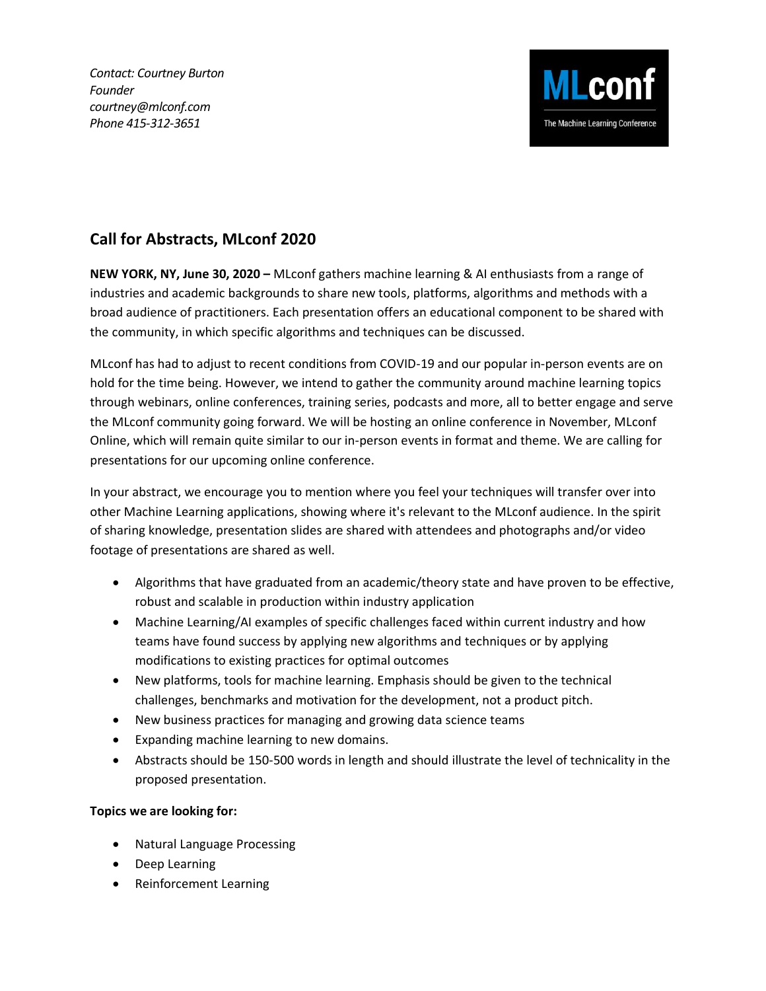*Contact: Courtney Burton Founder courtney@mlconf.com Phone 415-312-3651*



## **Call for Abstracts, MLconf 2020**

**NEW YORK, NY, June 30, 2020 –** MLconf gathers machine learning & AI enthusiasts from a range of industries and academic backgrounds to share new tools, platforms, algorithms and methods with a broad audience of practitioners. Each presentation offers an educational component to be shared with the community, in which specific algorithms and techniques can be discussed.

MLconf has had to adjust to recent conditions from COVID-19 and our popular in-person events are on hold for the time being. However, we intend to gather the community around machine learning topics through webinars, online conferences, training series, podcasts and more, all to better engage and serve the MLconf community going forward. We will be hosting an online conference in November, MLconf Online, which will remain quite similar to our in-person events in format and theme. We are calling for presentations for our upcoming online conference.

In your abstract, we encourage you to mention where you feel your techniques will transfer over into other Machine Learning applications, showing where it's relevant to the MLconf audience. In the spirit of sharing knowledge, presentation slides are shared with attendees and photographs and/or video footage of presentations are shared as well.

- Algorithms that have graduated from an academic/theory state and have proven to be effective, robust and scalable in production within industry application
- Machine Learning/AI examples of specific challenges faced within current industry and how teams have found success by applying new algorithms and techniques or by applying modifications to existing practices for optimal outcomes
- New platforms, tools for machine learning. Emphasis should be given to the technical challenges, benchmarks and motivation for the development, not a product pitch.
- New business practices for managing and growing data science teams
- Expanding machine learning to new domains.
- Abstracts should be 150-500 words in length and should illustrate the level of technicality in the proposed presentation.

## **Topics we are looking for:**

- Natural Language Processing
- Deep Learning
- Reinforcement Learning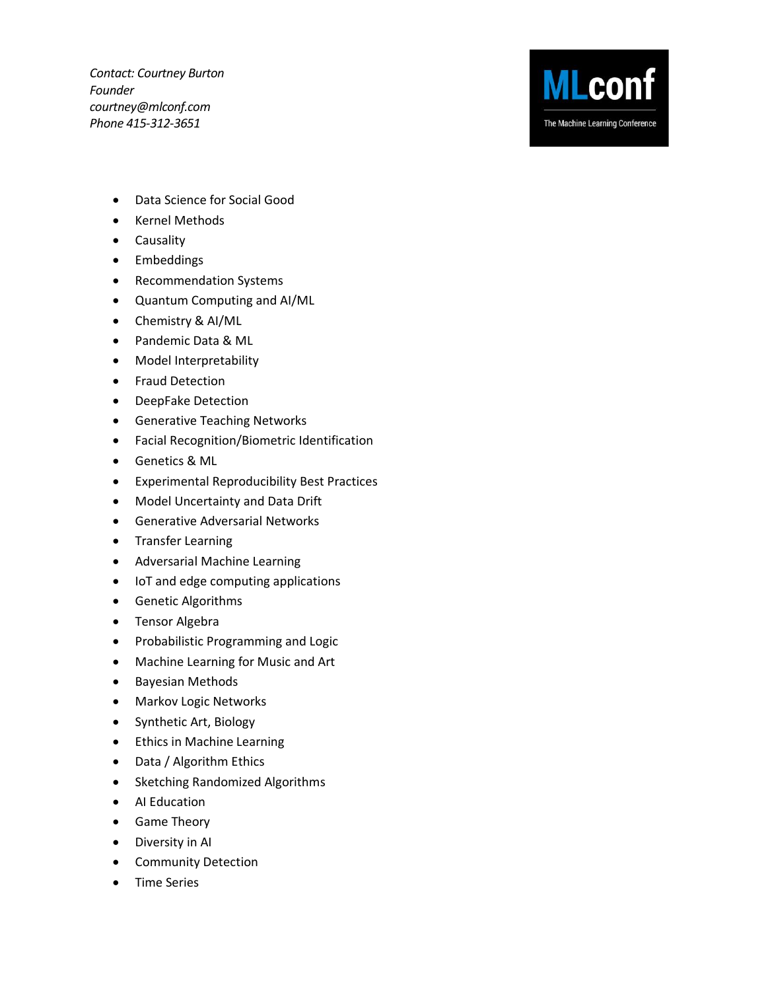*Contact: Courtney Burton Founder courtney@mlconf.com Phone 415-312-3651*



- Data Science for Social Good
- Kernel Methods
- Causality
- Embeddings
- Recommendation Systems
- Quantum Computing and AI/ML
- Chemistry & AI/ML
- Pandemic Data & ML
- Model Interpretability
- Fraud Detection
- DeepFake Detection
- Generative Teaching Networks
- Facial Recognition/Biometric Identification
- Genetics & ML
- Experimental Reproducibility Best Practices
- Model Uncertainty and Data Drift
- Generative Adversarial Networks
- Transfer Learning
- Adversarial Machine Learning
- IoT and edge computing applications
- Genetic Algorithms
- Tensor Algebra
- Probabilistic Programming and Logic
- Machine Learning for Music and Art
- Bayesian Methods
- Markov Logic Networks
- Synthetic Art, Biology
- Ethics in Machine Learning
- Data / Algorithm Ethics
- Sketching Randomized Algorithms
- AI Education
- Game Theory
- Diversity in AI
- Community Detection
- Time Series